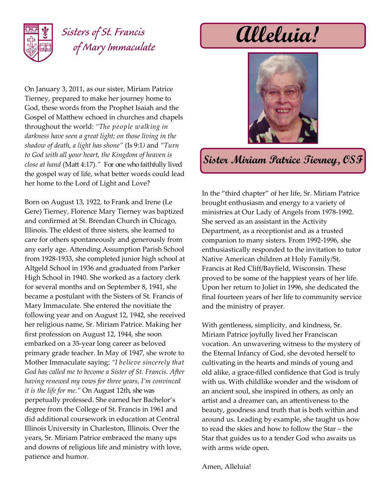

## *Sisters of St. Francis of Mary Immaculate*

On January 3, 2011, as our sister, Miriam Patrice Tierney, prepared to make her journey home to God, these words from the Prophet Isaiah and the Gospel of Matthew echoed in churches and chapels throughout the world: *"The people walking in darkness have seen a great light; on those living in the shadow of death, a light has shone"* (Is 9:1*)* and *"Turn to God with all your heart, the Kingdom of heaven is close at hand* (Matt 4:17).*"* For one who faithfully lived the gospel way of life, what better words could lead her home to the Lord of Light and Love?

Born on August 13, 1922, to Frank and Irene (Le Gere) Tierney, Florence Mary Tierney was baptized and confirmed at St. Brendan Church in Chicago, Illinois. The eldest of three sisters, she learned to care for others spontaneously and generously from any early age. Attending Assumption Parish School from 1928-1933, she completed junior high school at Altgeld School in 1936 and graduated from Parker High School in 1940. She worked as a factory clerk for several months and on September 8, 1941, she became a postulant with the Sisters of St. Francis of Mary Immaculate. She entered the novitiate the following year and on August 12, 1942, she received her religious name, Sr. Miriam Patrice. Making her first profession on August 12, 1944, she soon embarked on a 35-year long career as beloved primary grade teacher. In May of 1947, she wrote to Mother Immaculate saying: *"I believe sincerely that God has called me to become a Sister of St. Francis. After having renewed my vows for three years, I'm convinced it is the life for me."* On August 12th, she was perpetually professed. She earned her Bachelor's degree from the College of St. Francis in 1961 and did additional coursework in education at Central Illinois University in Charleston, Illinois. Over the years, Sr. Miriam Patrice embraced the many ups and downs of religious life and ministry with love, patience and humor.

**Alleluia!**



## **Sister Miriam Patrice Tierney, OSF**

In the "third chapter" of her life, Sr. Miriam Patrice brought enthusiasm and energy to a variety of ministries at Our Lady of Angels from 1978-1992. She served as an assistant in the Activity Department, as a receptionist and as a trusted companion to many sisters. From 1992-1996, she enthusiastically responded to the invitation to tutor Native American children at Holy Family/St. Francis at Red Cliff/Bayfield, Wisconsin. These proved to be some of the happiest years of her life. Upon her return to Joliet in 1996, she dedicated the final fourteen years of her life to community service and the ministry of prayer.

With gentleness, simplicity, and kindness, Sr. Miriam Patrice joyfully lived her Franciscan vocation. An unwavering witness to the mystery of the Eternal Infancy of God, she devoted herself to cultivating in the hearts and minds of young and old alike, a grace-filled confidence that God is truly with us. With childlike wonder and the wisdom of an ancient soul, she inspired in others, as only an artist and a dreamer can, an attentiveness to the beauty, goodness and truth that is both within and around us. Leading by example, she taught us how to read the skies and how to follow the Star – the Star that guides us to a tender God who awaits us with arms wide open.

Amen, Alleluia!